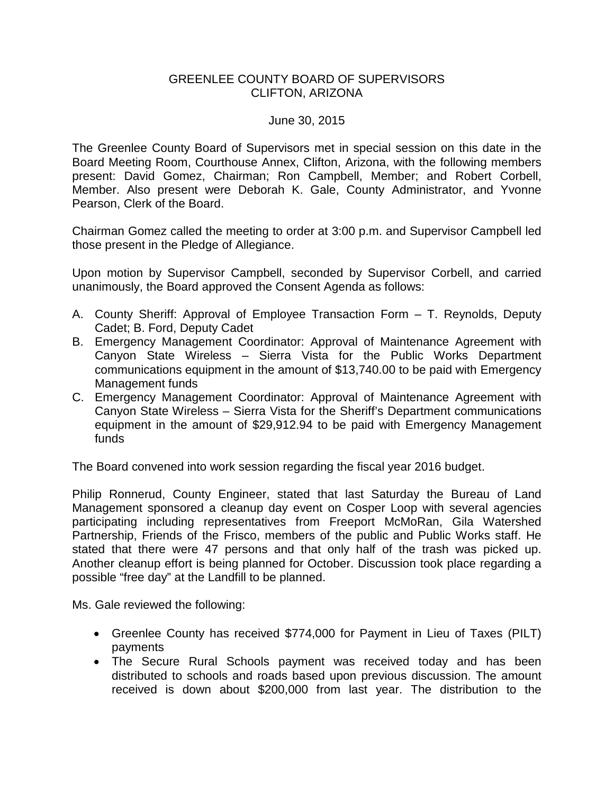## GREENLEE COUNTY BOARD OF SUPERVISORS CLIFTON, ARIZONA

## June 30, 2015

The Greenlee County Board of Supervisors met in special session on this date in the Board Meeting Room, Courthouse Annex, Clifton, Arizona, with the following members present: David Gomez, Chairman; Ron Campbell, Member; and Robert Corbell, Member. Also present were Deborah K. Gale, County Administrator, and Yvonne Pearson, Clerk of the Board.

Chairman Gomez called the meeting to order at 3:00 p.m. and Supervisor Campbell led those present in the Pledge of Allegiance.

Upon motion by Supervisor Campbell, seconded by Supervisor Corbell, and carried unanimously, the Board approved the Consent Agenda as follows:

- A. County Sheriff: Approval of Employee Transaction Form T. Reynolds, Deputy Cadet; B. Ford, Deputy Cadet
- B. Emergency Management Coordinator: Approval of Maintenance Agreement with Canyon State Wireless – Sierra Vista for the Public Works Department communications equipment in the amount of \$13,740.00 to be paid with Emergency Management funds
- C. Emergency Management Coordinator: Approval of Maintenance Agreement with Canyon State Wireless – Sierra Vista for the Sheriff's Department communications equipment in the amount of \$29,912.94 to be paid with Emergency Management funds

The Board convened into work session regarding the fiscal year 2016 budget.

Philip Ronnerud, County Engineer, stated that last Saturday the Bureau of Land Management sponsored a cleanup day event on Cosper Loop with several agencies participating including representatives from Freeport McMoRan, Gila Watershed Partnership, Friends of the Frisco, members of the public and Public Works staff. He stated that there were 47 persons and that only half of the trash was picked up. Another cleanup effort is being planned for October. Discussion took place regarding a possible "free day" at the Landfill to be planned.

Ms. Gale reviewed the following:

- Greenlee County has received \$774,000 for Payment in Lieu of Taxes (PILT) payments
- The Secure Rural Schools payment was received today and has been distributed to schools and roads based upon previous discussion. The amount received is down about \$200,000 from last year. The distribution to the